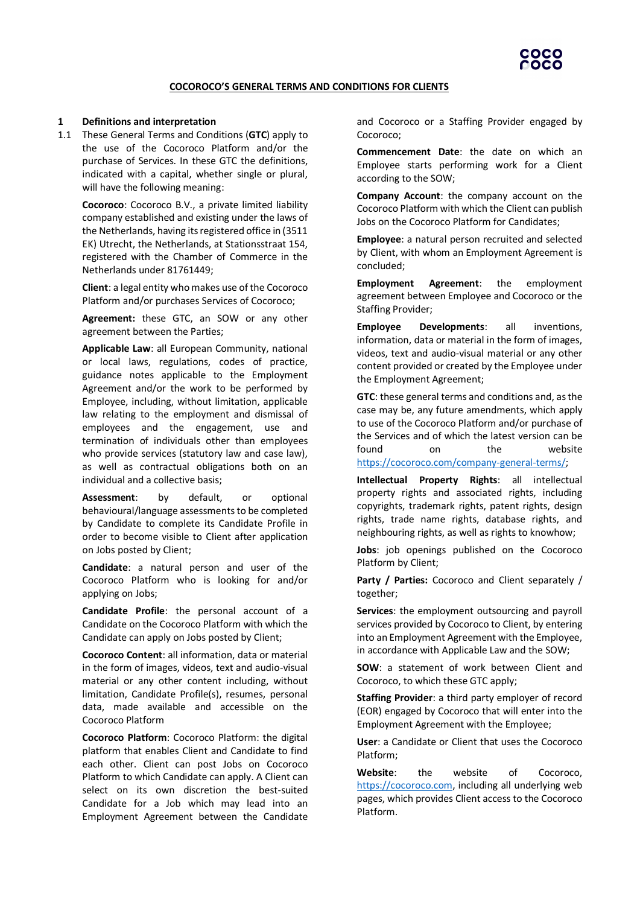

#### **COCOROCO'S GENERAL TERMS AND CONDITIONS FOR CLIENTS**

#### **1 Definitions and interpretation**

1.1 These General Terms and Conditions (**GTC**) apply to the use of the Cocoroco Platform and/or the purchase of Services. In these GTC the definitions, indicated with a capital, whether single or plural, will have the following meaning:

**Cocoroco**: Cocoroco B.V., a private limited liability company established and existing under the laws of the Netherlands, having its registered office in (3511 EK) Utrecht, the Netherlands, at Stationsstraat 154, registered with the Chamber of Commerce in the Netherlands under 81761449;

**Client**: a legal entity who makes use of the Cocoroco Platform and/or purchases Services of Cocoroco;

**Agreement:** these GTC, an SOW or any other agreement between the Parties;

**Applicable Law**: all European Community, national or local laws, regulations, codes of practice, guidance notes applicable to the Employment Agreement and/or the work to be performed by Employee, including, without limitation, applicable law relating to the employment and dismissal of employees and the engagement, use and termination of individuals other than employees who provide services (statutory law and case law), as well as contractual obligations both on an individual and a collective basis;

**Assessment**: by default, or optional behavioural/language assessments to be completed by Candidate to complete its Candidate Profile in order to become visible to Client after application on Jobs posted by Client;

**Candidate**: a natural person and user of the Cocoroco Platform who is looking for and/or applying on Jobs;

**Candidate Profile**: the personal account of a Candidate on the Cocoroco Platform with which the Candidate can apply on Jobs posted by Client;

**Cocoroco Content**: all information, data or material in the form of images, videos, text and audio-visual material or any other content including, without limitation, Candidate Profile(s), resumes, personal data, made available and accessible on the Cocoroco Platform

**Cocoroco Platform**: Cocoroco Platform: the digital platform that enables Client and Candidate to find each other. Client can post Jobs on Cocoroco Platform to which Candidate can apply. A Client can select on its own discretion the best-suited Candidate for a Job which may lead into an Employment Agreement between the Candidate

and Cocoroco or a Staffing Provider engaged by Cocoroco;

**Commencement Date**: the date on which an Employee starts performing work for a Client according to the SOW;

**Company Account**: the company account on the Cocoroco Platform with which the Client can publish Jobs on the Cocoroco Platform for Candidates;

**Employee**: a natural person recruited and selected by Client, with whom an Employment Agreement is concluded;

**Employment Agreement**: the employment agreement between Employee and Cocoroco or the Staffing Provider;

**Employee Developments**: all inventions, information, data or material in the form of images, videos, text and audio-visual material or any other content provided or created by the Employee under the Employment Agreement;

**GTC**: these general terms and conditions and, as the case may be, any future amendments, which apply to use of the Cocoroco Platform and/or purchase of the Services and of which the latest version can be found on the website [https://cocoroco.com/company-general-terms/;](https://cocoroco.com/company-general-terms/)

**Intellectual Property Rights**: all intellectual property rights and associated rights, including copyrights, trademark rights, patent rights, design rights, trade name rights, database rights, and neighbouring rights, as well as rights to knowhow;

**Jobs**: job openings published on the Cocoroco Platform by Client;

**Party / Parties:** Cocoroco and Client separately / together;

**Services**: the employment outsourcing and payroll services provided by Cocoroco to Client, by entering into an Employment Agreement with the Employee, in accordance with Applicable Law and the SOW;

**SOW**: a statement of work between Client and Cocoroco, to which these GTC apply;

**Staffing Provider**: a third party employer of record (EOR) engaged by Cocoroco that will enter into the Employment Agreement with the Employee;

**User**: a Candidate or Client that uses the Cocoroco Platform;

**Website**: the website of Cocoroco, [https://cocoroco.com,](https://cocoroco.com/) including all underlying web pages, which provides Client access to the Cocoroco Platform.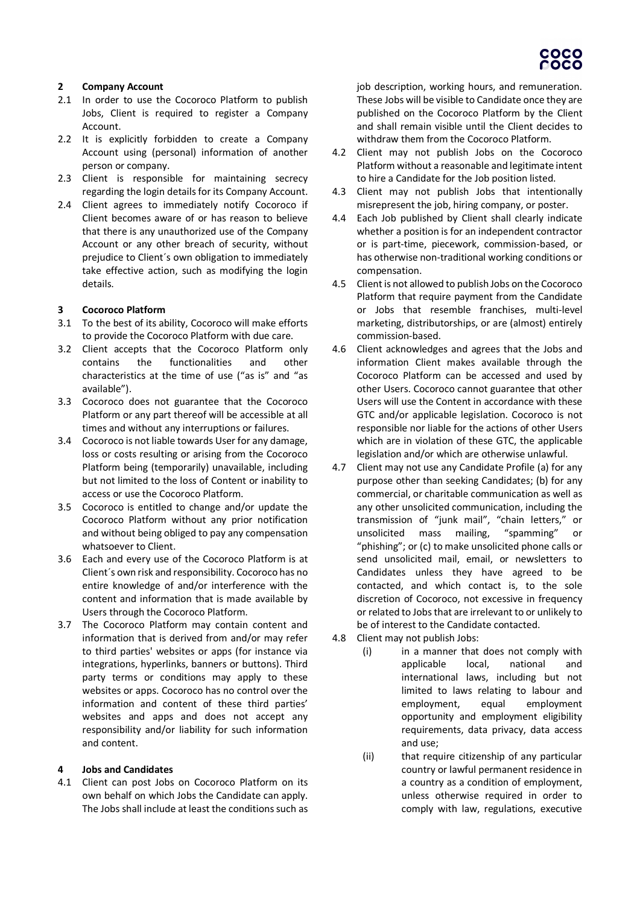

### **2 Company Account**

- 2.1 In order to use the Cocoroco Platform to publish Jobs, Client is required to register a Company Account.
- 2.2 It is explicitly forbidden to create a Company Account using (personal) information of another person or company.
- 2.3 Client is responsible for maintaining secrecy regarding the login details for its Company Account.
- 2.4 Client agrees to immediately notify Cocoroco if Client becomes aware of or has reason to believe that there is any unauthorized use of the Company Account or any other breach of security, without prejudice to Client´s own obligation to immediately take effective action, such as modifying the login details.

#### **3 Cocoroco Platform**

- 3.1 To the best of its ability, Cocoroco will make efforts to provide the Cocoroco Platform with due care.
- 3.2 Client accepts that the Cocoroco Platform only contains the functionalities and other characteristics at the time of use ("as is" and "as available").
- 3.3 Cocoroco does not guarantee that the Cocoroco Platform or any part thereof will be accessible at all times and without any interruptions or failures.
- 3.4 Cocoroco is not liable towards User for any damage, loss or costs resulting or arising from the Cocoroco Platform being (temporarily) unavailable, including but not limited to the loss of Content or inability to access or use the Cocoroco Platform.
- 3.5 Cocoroco is entitled to change and/or update the Cocoroco Platform without any prior notification and without being obliged to pay any compensation whatsoever to Client.
- 3.6 Each and every use of the Cocoroco Platform is at Client´s own risk and responsibility. Cocoroco has no entire knowledge of and/or interference with the content and information that is made available by Users through the Cocoroco Platform.
- 3.7 The Cocoroco Platform may contain content and information that is derived from and/or may refer to third parties' websites or apps (for instance via integrations, hyperlinks, banners or buttons). Third party terms or conditions may apply to these websites or apps. Cocoroco has no control over the information and content of these third parties' websites and apps and does not accept any responsibility and/or liability for such information and content.

### **4 Jobs and Candidates**

4.1 Client can post Jobs on Cocoroco Platform on its own behalf on which Jobs the Candidate can apply. The Jobs shall include at least the conditions such as job description, working hours, and remuneration. These Jobs will be visible to Candidate once they are published on the Cocoroco Platform by the Client and shall remain visible until the Client decides to withdraw them from the Cocoroco Platform.

- 4.2 Client may not publish Jobs on the Cocoroco Platform without a reasonable and legitimate intent to hire a Candidate for the Job position listed.
- 4.3 Client may not publish Jobs that intentionally misrepresent the job, hiring company, or poster.
- 4.4 Each Job published by Client shall clearly indicate whether a position is for an independent contractor or is part-time, piecework, commission-based, or has otherwise non-traditional working conditions or compensation.
- 4.5 Client is not allowed to publish Jobs on the Cocoroco Platform that require payment from the Candidate or Jobs that resemble franchises, multi-level marketing, distributorships, or are (almost) entirely commission-based.
- 4.6 Client acknowledges and agrees that the Jobs and information Client makes available through the Cocoroco Platform can be accessed and used by other Users. Cocoroco cannot guarantee that other Users will use the Content in accordance with these GTC and/or applicable legislation. Cocoroco is not responsible nor liable for the actions of other Users which are in violation of these GTC, the applicable legislation and/or which are otherwise unlawful.
- 4.7 Client may not use any Candidate Profile (a) for any purpose other than seeking Candidates; (b) for any commercial, or charitable communication as well as any other unsolicited communication, including the transmission of "junk mail", "chain letters," or unsolicited mass mailing, "spamming" "phishing"; or (c) to make unsolicited phone calls or send unsolicited mail, email, or newsletters to Candidates unless they have agreed to be contacted, and which contact is, to the sole discretion of Cocoroco, not excessive in frequency or related to Jobs that are irrelevant to or unlikely to be of interest to the Candidate contacted.
- 4.8 Client may not publish Jobs:
	- (i) in a manner that does not comply with applicable local, national and international laws, including but not limited to laws relating to labour and employment, equal employment opportunity and employment eligibility requirements, data privacy, data access and use;
	- (ii) that require citizenship of any particular country or lawful permanent residence in a country as a condition of employment, unless otherwise required in order to comply with law, regulations, executive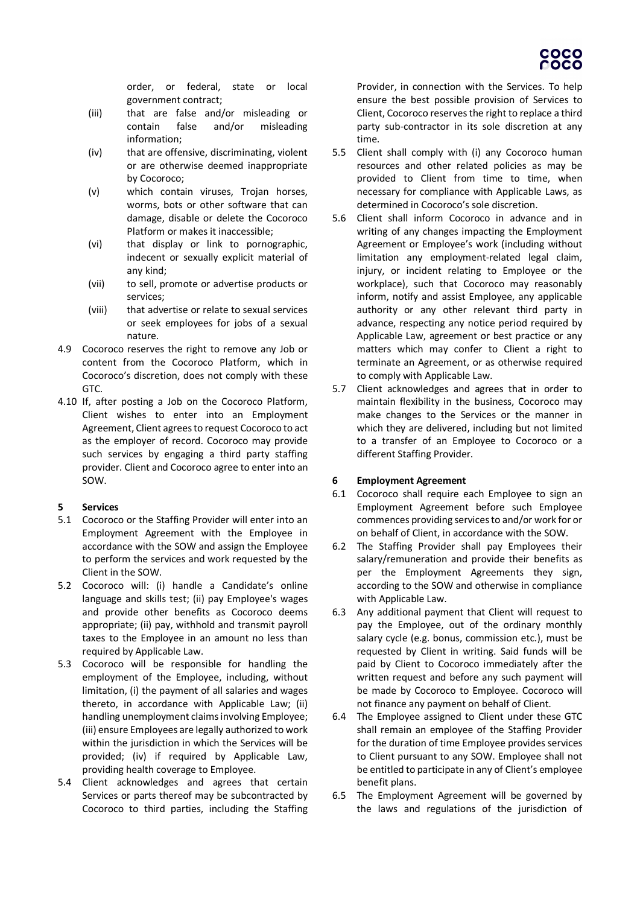

order, or federal, state or local government contract;

- (iii) that are false and/or misleading or contain false and/or misleading information;
- (iv) that are offensive, discriminating, violent or are otherwise deemed inappropriate by Cocoroco;
- (v) which contain viruses, Trojan horses, worms, bots or other software that can damage, disable or delete the Cocoroco Platform or makes it inaccessible;
- (vi) that display or link to pornographic, indecent or sexually explicit material of any kind;
- (vii) to sell, promote or advertise products or services;
- (viii) that advertise or relate to sexual services or seek employees for jobs of a sexual nature.
- 4.9 Cocoroco reserves the right to remove any Job or content from the Cocoroco Platform, which in Cocoroco's discretion, does not comply with these GTC.
- 4.10 If, after posting a Job on the Cocoroco Platform, Client wishes to enter into an Employment Agreement, Client agrees to request Cocoroco to act as the employer of record. Cocoroco may provide such services by engaging a third party staffing provider. Client and Cocoroco agree to enter into an SOW.

### **5 Services**

- 5.1 Cocoroco or the Staffing Provider will enter into an Employment Agreement with the Employee in accordance with the SOW and assign the Employee to perform the services and work requested by the Client in the SOW.
- 5.2 Cocoroco will: (i) handle a Candidate's online language and skills test; (ii) pay Employee's wages and provide other benefits as Cocoroco deems appropriate; (ii) pay, withhold and transmit payroll taxes to the Employee in an amount no less than required by Applicable Law.
- 5.3 Cocoroco will be responsible for handling the employment of the Employee, including, without limitation, (i) the payment of all salaries and wages thereto, in accordance with Applicable Law; (ii) handling unemployment claims involving Employee; (iii) ensure Employees are legally authorized to work within the jurisdiction in which the Services will be provided; (iv) if required by Applicable Law, providing health coverage to Employee.
- 5.4 Client acknowledges and agrees that certain Services or parts thereof may be subcontracted by Cocoroco to third parties, including the Staffing

Provider, in connection with the Services. To help ensure the best possible provision of Services to Client, Cocoroco reserves the right to replace a third party sub-contractor in its sole discretion at any time.

- 5.5 Client shall comply with (i) any Cocoroco human resources and other related policies as may be provided to Client from time to time, when necessary for compliance with Applicable Laws, as determined in Cocoroco's sole discretion.
- 5.6 Client shall inform Cocoroco in advance and in writing of any changes impacting the Employment Agreement or Employee's work (including without limitation any employment-related legal claim, injury, or incident relating to Employee or the workplace), such that Cocoroco may reasonably inform, notify and assist Employee, any applicable authority or any other relevant third party in advance, respecting any notice period required by Applicable Law, agreement or best practice or any matters which may confer to Client a right to terminate an Agreement, or as otherwise required to comply with Applicable Law.
- 5.7 Client acknowledges and agrees that in order to maintain flexibility in the business, Cocoroco may make changes to the Services or the manner in which they are delivered, including but not limited to a transfer of an Employee to Cocoroco or a different Staffing Provider.

# **6 Employment Agreement**

- 6.1 Cocoroco shall require each Employee to sign an Employment Agreement before such Employee commences providing services to and/or work for or on behalf of Client, in accordance with the SOW.
- 6.2 The Staffing Provider shall pay Employees their salary/remuneration and provide their benefits as per the Employment Agreements they sign, according to the SOW and otherwise in compliance with Applicable Law.
- 6.3 Any additional payment that Client will request to pay the Employee, out of the ordinary monthly salary cycle (e.g. bonus, commission etc.), must be requested by Client in writing. Said funds will be paid by Client to Cocoroco immediately after the written request and before any such payment will be made by Cocoroco to Employee. Cocoroco will not finance any payment on behalf of Client.
- 6.4 The Employee assigned to Client under these GTC shall remain an employee of the Staffing Provider for the duration of time Employee provides services to Client pursuant to any SOW. Employee shall not be entitled to participate in any of Client's employee benefit plans.
- 6.5 The Employment Agreement will be governed by the laws and regulations of the jurisdiction of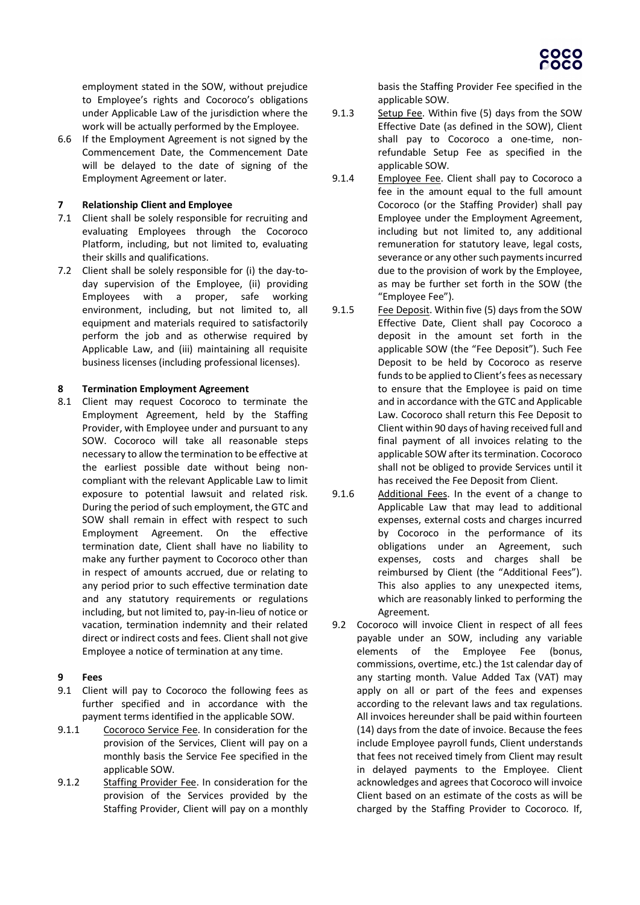employment stated in the SOW, without prejudice to Employee's rights and Cocoroco's obligations under Applicable Law of the jurisdiction where the work will be actually performed by the Employee.

6.6 If the Employment Agreement is not signed by the Commencement Date, the Commencement Date will be delayed to the date of signing of the Employment Agreement or later.

## **7 Relationship Client and Employee**

- 7.1 Client shall be solely responsible for recruiting and evaluating Employees through the Cocoroco Platform, including, but not limited to, evaluating their skills and qualifications.
- 7.2 Client shall be solely responsible for (i) the day-today supervision of the Employee, (ii) providing Employees with a proper, safe working environment, including, but not limited to, all equipment and materials required to satisfactorily perform the job and as otherwise required by Applicable Law, and (iii) maintaining all requisite business licenses (including professional licenses).

### **8 Termination Employment Agreement**

8.1 Client may request Cocoroco to terminate the Employment Agreement, held by the Staffing Provider, with Employee under and pursuant to any SOW. Cocoroco will take all reasonable steps necessary to allow the termination to be effective at the earliest possible date without being noncompliant with the relevant Applicable Law to limit exposure to potential lawsuit and related risk. During the period of such employment, the GTC and SOW shall remain in effect with respect to such Employment Agreement. On the effective termination date, Client shall have no liability to make any further payment to Cocoroco other than in respect of amounts accrued, due or relating to any period prior to such effective termination date and any statutory requirements or regulations including, but not limited to, pay-in-lieu of notice or vacation, termination indemnity and their related direct or indirect costs and fees. Client shall not give Employee a notice of termination at any time.

# **9 Fees**

- 9.1 Client will pay to Cocoroco the following fees as further specified and in accordance with the payment terms identified in the applicable SOW.
- 9.1.1 Cocoroco Service Fee. In consideration for the provision of the Services, Client will pay on a monthly basis the Service Fee specified in the applicable SOW.
- 9.1.2 Staffing Provider Fee. In consideration for the provision of the Services provided by the Staffing Provider, Client will pay on a monthly

basis the Staffing Provider Fee specified in the applicable SOW.

- 9.1.3 Setup Fee. Within five (5) days from the SOW Effective Date (as defined in the SOW), Client shall pay to Cocoroco a one-time, nonrefundable Setup Fee as specified in the applicable SOW.
- 9.1.4 Employee Fee. Client shall pay to Cocoroco a fee in the amount equal to the full amount Cocoroco (or the Staffing Provider) shall pay Employee under the Employment Agreement, including but not limited to, any additional remuneration for statutory leave, legal costs, severance or any other such payments incurred due to the provision of work by the Employee, as may be further set forth in the SOW (the "Employee Fee").
- 9.1.5 Fee Deposit. Within five (5) days from the SOW Effective Date, Client shall pay Cocoroco a deposit in the amount set forth in the applicable SOW (the "Fee Deposit"). Such Fee Deposit to be held by Cocoroco as reserve funds to be applied to Client's fees as necessary to ensure that the Employee is paid on time and in accordance with the GTC and Applicable Law. Cocoroco shall return this Fee Deposit to Client within 90 days of having received full and final payment of all invoices relating to the applicable SOW after its termination. Cocoroco shall not be obliged to provide Services until it has received the Fee Deposit from Client.
- 9.1.6 Additional Fees. In the event of a change to Applicable Law that may lead to additional expenses, external costs and charges incurred by Cocoroco in the performance of its obligations under an Agreement, such expenses, costs and charges shall be reimbursed by Client (the "Additional Fees"). This also applies to any unexpected items, which are reasonably linked to performing the Agreement.
- 9.2 Cocoroco will invoice Client in respect of all fees payable under an SOW, including any variable elements of the Employee Fee (bonus, commissions, overtime, etc.) the 1st calendar day of any starting month. Value Added Tax (VAT) may apply on all or part of the fees and expenses according to the relevant laws and tax regulations. All invoices hereunder shall be paid within fourteen (14) days from the date of invoice. Because the fees include Employee payroll funds, Client understands that fees not received timely from Client may result in delayed payments to the Employee. Client acknowledges and agrees that Cocoroco will invoice Client based on an estimate of the costs as will be charged by the Staffing Provider to Cocoroco. If,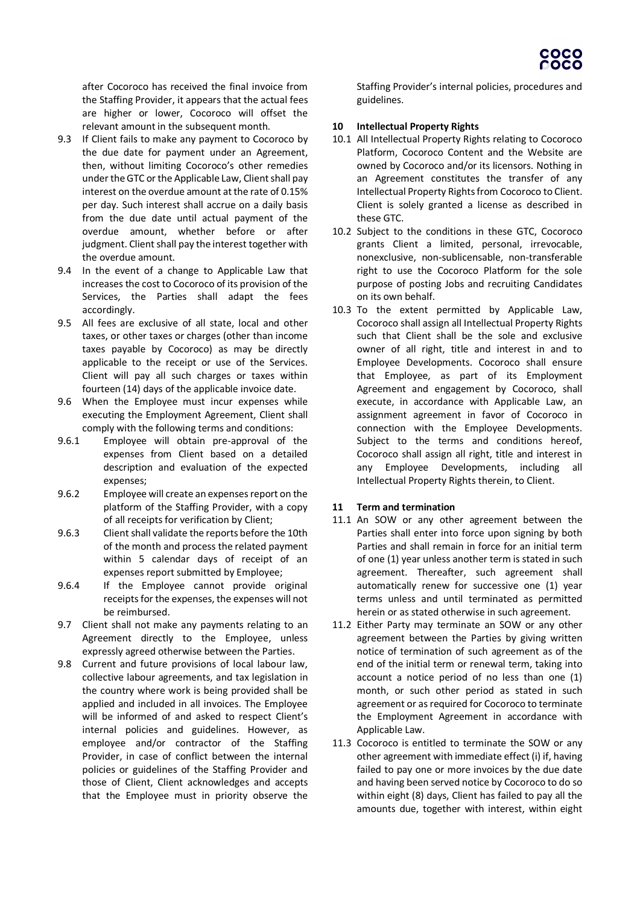after Cocoroco has received the final invoice from the Staffing Provider, it appears that the actual fees are higher or lower, Cocoroco will offset the relevant amount in the subsequent month.

- 9.3 If Client fails to make any payment to Cocoroco by the due date for payment under an Agreement, then, without limiting Cocoroco's other remedies under the GTC or the Applicable Law, Client shall pay interest on the overdue amount at the rate of 0.15% per day. Such interest shall accrue on a daily basis from the due date until actual payment of the overdue amount, whether before or after judgment. Client shall pay the interest together with the overdue amount.
- 9.4 In the event of a change to Applicable Law that increases the cost to Cocoroco of its provision of the Services, the Parties shall adapt the fees accordingly.
- 9.5 All fees are exclusive of all state, local and other taxes, or other taxes or charges (other than income taxes payable by Cocoroco) as may be directly applicable to the receipt or use of the Services. Client will pay all such charges or taxes within fourteen (14) days of the applicable invoice date.
- 9.6 When the Employee must incur expenses while executing the Employment Agreement, Client shall comply with the following terms and conditions:
- 9.6.1 Employee will obtain pre-approval of the expenses from Client based on a detailed description and evaluation of the expected expenses;
- 9.6.2 Employee will create an expenses report on the platform of the Staffing Provider, with a copy of all receipts for verification by Client;
- 9.6.3 Client shall validate the reports before the 10th of the month and process the related payment within 5 calendar days of receipt of an expenses report submitted by Employee;
- 9.6.4 If the Employee cannot provide original receipts for the expenses, the expenses will not be reimbursed.
- 9.7 Client shall not make any payments relating to an Agreement directly to the Employee, unless expressly agreed otherwise between the Parties.
- 9.8 Current and future provisions of local labour law, collective labour agreements, and tax legislation in the country where work is being provided shall be applied and included in all invoices. The Employee will be informed of and asked to respect Client's internal policies and guidelines. However, as employee and/or contractor of the Staffing Provider, in case of conflict between the internal policies or guidelines of the Staffing Provider and those of Client, Client acknowledges and accepts that the Employee must in priority observe the

Staffing Provider's internal policies, procedures and guidelines.

## **10 Intellectual Property Rights**

- 10.1 All Intellectual Property Rights relating to Cocoroco Platform, Cocoroco Content and the Website are owned by Cocoroco and/or its licensors. Nothing in an Agreement constitutes the transfer of any Intellectual Property Rights from Cocoroco to Client. Client is solely granted a license as described in these GTC.
- 10.2 Subject to the conditions in these GTC, Cocoroco grants Client a limited, personal, irrevocable, nonexclusive, non-sublicensable, non-transferable right to use the Cocoroco Platform for the sole purpose of posting Jobs and recruiting Candidates on its own behalf.
- 10.3 To the extent permitted by Applicable Law, Cocoroco shall assign all Intellectual Property Rights such that Client shall be the sole and exclusive owner of all right, title and interest in and to Employee Developments. Cocoroco shall ensure that Employee, as part of its Employment Agreement and engagement by Cocoroco, shall execute, in accordance with Applicable Law, an assignment agreement in favor of Cocoroco in connection with the Employee Developments. Subject to the terms and conditions hereof, Cocoroco shall assign all right, title and interest in any Employee Developments, including all Intellectual Property Rights therein, to Client.

# **11 Term and termination**

- 11.1 An SOW or any other agreement between the Parties shall enter into force upon signing by both Parties and shall remain in force for an initial term of one (1) year unless another term is stated in such agreement. Thereafter, such agreement shall automatically renew for successive one (1) year terms unless and until terminated as permitted herein or as stated otherwise in such agreement.
- 11.2 Either Party may terminate an SOW or any other agreement between the Parties by giving written notice of termination of such agreement as of the end of the initial term or renewal term, taking into account a notice period of no less than one (1) month, or such other period as stated in such agreement or as required for Cocoroco to terminate the Employment Agreement in accordance with Applicable Law.
- 11.3 Cocoroco is entitled to terminate the SOW or any other agreement with immediate effect (i) if, having failed to pay one or more invoices by the due date and having been served notice by Cocoroco to do so within eight (8) days, Client has failed to pay all the amounts due, together with interest, within eight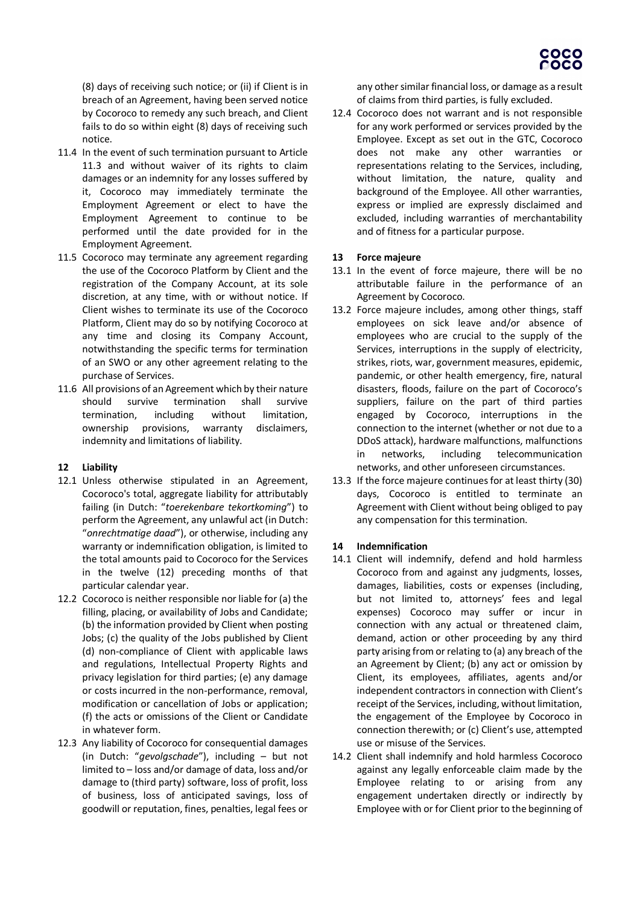

(8) days of receiving such notice; or (ii) if Client is in breach of an Agreement, having been served notice by Cocoroco to remedy any such breach, and Client fails to do so within eight (8) days of receiving such notice.

- 11.4 In the event of such termination pursuant to Article 11.3 and without waiver of its rights to claim damages or an indemnity for any losses suffered by it, Cocoroco may immediately terminate the Employment Agreement or elect to have the Employment Agreement to continue to be performed until the date provided for in the Employment Agreement.
- 11.5 Cocoroco may terminate any agreement regarding the use of the Cocoroco Platform by Client and the registration of the Company Account, at its sole discretion, at any time, with or without notice. If Client wishes to terminate its use of the Cocoroco Platform, Client may do so by notifying Cocoroco at any time and closing its Company Account, notwithstanding the specific terms for termination of an SWO or any other agreement relating to the purchase of Services.
- 11.6 All provisions of an Agreement which by their nature should survive termination shall survive termination, including without limitation, ownership provisions, warranty disclaimers, indemnity and limitations of liability.

### **12 Liability**

- 12.1 Unless otherwise stipulated in an Agreement, Cocoroco's total, aggregate liability for attributably failing (in Dutch: "*toerekenbare tekortkoming*") to perform the Agreement, any unlawful act (in Dutch: "*onrechtmatige daad*"), or otherwise, including any warranty or indemnification obligation, is limited to the total amounts paid to Cocoroco for the Services in the twelve (12) preceding months of that particular calendar year.
- 12.2 Cocoroco is neither responsible nor liable for (a) the filling, placing, or availability of Jobs and Candidate; (b) the information provided by Client when posting Jobs; (c) the quality of the Jobs published by Client (d) non-compliance of Client with applicable laws and regulations, Intellectual Property Rights and privacy legislation for third parties; (e) any damage or costs incurred in the non-performance, removal, modification or cancellation of Jobs or application; (f) the acts or omissions of the Client or Candidate in whatever form.
- 12.3 Any liability of Cocoroco for consequential damages (in Dutch: "*gevolgschade*"), including – but not limited to – loss and/or damage of data, loss and/or damage to (third party) software, loss of profit, loss of business, loss of anticipated savings, loss of goodwill or reputation, fines, penalties, legal fees or

any other similar financial loss, or damage as a result of claims from third parties, is fully excluded.

12.4 Cocoroco does not warrant and is not responsible for any work performed or services provided by the Employee. Except as set out in the GTC, Cocoroco does not make any other warranties or representations relating to the Services, including, without limitation, the nature, quality and background of the Employee. All other warranties, express or implied are expressly disclaimed and excluded, including warranties of merchantability and of fitness for a particular purpose.

### **13 Force majeure**

- 13.1 In the event of force majeure, there will be no attributable failure in the performance of an Agreement by Cocoroco.
- 13.2 Force majeure includes, among other things, staff employees on sick leave and/or absence of employees who are crucial to the supply of the Services, interruptions in the supply of electricity, strikes, riots, war, government measures, epidemic, pandemic, or other health emergency, fire, natural disasters, floods, failure on the part of Cocoroco's suppliers, failure on the part of third parties engaged by Cocoroco, interruptions in the connection to the internet (whether or not due to a DDoS attack), hardware malfunctions, malfunctions in networks, including telecommunication networks, and other unforeseen circumstances.
- 13.3 If the force majeure continues for at least thirty (30) days, Cocoroco is entitled to terminate an Agreement with Client without being obliged to pay any compensation for this termination.

### **14 Indemnification**

- 14.1 Client will indemnify, defend and hold harmless Cocoroco from and against any judgments, losses, damages, liabilities, costs or expenses (including, but not limited to, attorneys' fees and legal expenses) Cocoroco may suffer or incur in connection with any actual or threatened claim, demand, action or other proceeding by any third party arising from or relating to (a) any breach of the an Agreement by Client; (b) any act or omission by Client, its employees, affiliates, agents and/or independent contractors in connection with Client's receipt of the Services, including, without limitation, the engagement of the Employee by Cocoroco in connection therewith; or (c) Client's use, attempted use or misuse of the Services.
- 14.2 Client shall indemnify and hold harmless Cocoroco against any legally enforceable claim made by the Employee relating to or arising from any engagement undertaken directly or indirectly by Employee with or for Client prior to the beginning of